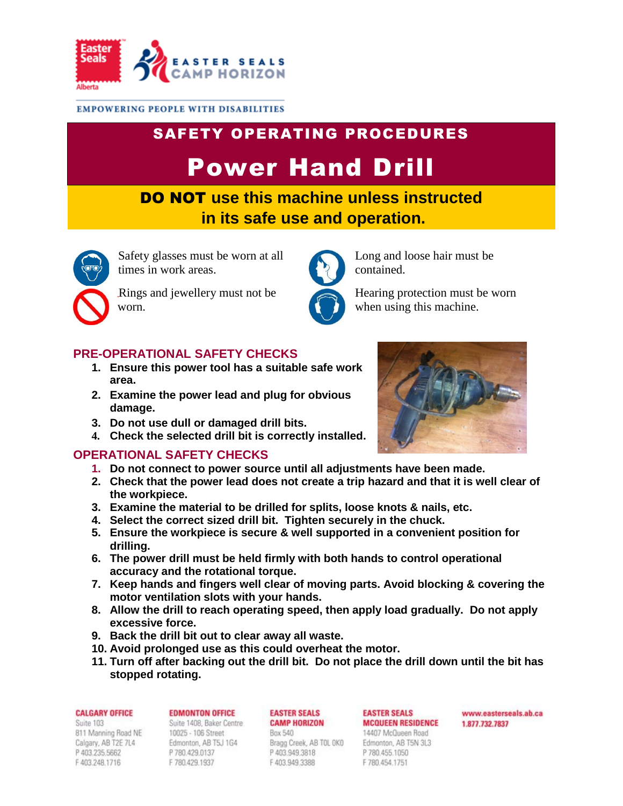

### **EMPOWERING PEOPLE WITH DISABILITIES**

# SAFETY OPERATING PROCEDURES Power Hand Drill

DO NOT **use this machine unless instructed in its safe use and operation.**



Safety glasses must be worn at all times in work areas.

Rings and jewellery must not be worn.

## **PRE-OPERATIONAL SAFETY CHECKS**

- **1. Ensure this power tool has a suitable safe work area.**
- **2. Examine the power lead and plug for obvious damage.**
- **3. Do not use dull or damaged drill bits.**
- **4. Check the selected drill bit is correctly installed.**

### **OPERATIONAL SAFETY CHECKS**

- **1. Do not connect to power source until all adjustments have been made.**
- **2. Check that the power lead does not create a trip hazard and that it is well clear of the workpiece.**
- **3. Examine the material to be drilled for splits, loose knots & nails, etc.**
- **4. Select the correct sized drill bit. Tighten securely in the chuck.**
- **5. Ensure the workpiece is secure & well supported in a convenient position for drilling.**
- **6. The power drill must be held firmly with both hands to control operational accuracy and the rotational torque.**
- **7. Keep hands and fingers well clear of moving parts. Avoid blocking & covering the motor ventilation slots with your hands.**
- **8. Allow the drill to reach operating speed, then apply load gradually. Do not apply excessive force.**
- **9. Back the drill bit out to clear away all waste.**
- **10. Avoid prolonged use as this could overheat the motor.**
- **11. Turn off after backing out the drill bit. Do not place the drill down until the bit has stopped rotating.**

# **CALGARY OFFICE**

Suite 103 811 Manning Road NE Calgary, AB T2E 7L4 P 403 235 5662 F403.248.1716

#### **EDMONTON OFFICE** Suite 1408, Baker Centre

10025 - 106 Street Edmonton, AB T5J 1G4 P 780.429.0137 F 780.429.1937

#### **EASTER SEALS CAMP HORIZON**

Box 540 Bragg Creek, AB TOL OKO P403.949.3818 F 403.949.3388

#### **EASTER SEALS MCQUEEN RESIDENCE** 14407 McQueen Road

Edmonton, AB T5N 3L3 P 780.455.1050 F 780.454.1751

www.easterseals.ab.ca 1,877,732,7837



Long and loose hair must be

when using this machine.

Hearing protection must be worn

contained.